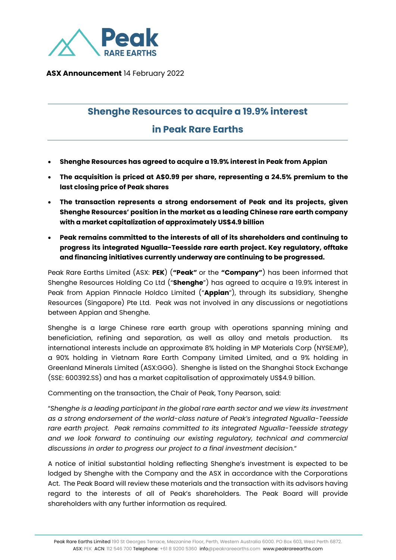

 **ASX Announcement** 14 February 2022

## **Shenghe Resources to acquire a 19.9% interest**

## **in Peak Rare Earths**

- **Shenghe Resources has agreed to acquire a 19.9% interest in Peak from Appian**
- **The acquisition is priced at A\$0.99 per share, representing a 24.5% premium to the last closing price of Peak shares**
- **The transaction represents a strong endorsement of Peak and its projects, given Shenghe Resources' position in the market as a leading Chinese rare earth company with a market capitalization of approximately US\$4.9 billion**
- **Peak remains committed to the interests of all of its shareholders and continuing to progress its integrated Ngualla-Teesside rare earth project. Key regulatory, offtake and financing initiatives currently underway are continuing to be progressed.**

Peak Rare Earths Limited (ASX: **PEK**) (**"Peak"** or the **"Company"**) has been informed that Shenghe Resources Holding Co Ltd ("**Shenghe**") has agreed to acquire a 19.9% interest in Peak from Appian Pinnacle Holdco Limited ("**Appian**"), through its subsidiary, Shenghe Resources (Singapore) Pte Ltd. Peak was not involved in any discussions or negotiations between Appian and Shenghe.

Shenghe is a large Chinese rare earth group with operations spanning mining and beneficiation, refining and separation, as well as alloy and metals production. Its international interests include an approximate 8% holding in MP Materials Corp (NYSE:MP), a 90% holding in Vietnam Rare Earth Company Limited Limited, and a 9% holding in Greenland Minerals Limited (ASX:GGG). Shenghe is listed on the Shanghai Stock Exchange (SSE: 600392.SS) and has a market capitalisation of approximately US\$4.9 billion.

Commenting on the transaction, the Chair of Peak, Tony Pearson, said:

"*Shenghe is a leading participant in the global rare earth sector and we view its investment as a strong endorsement of the world-class nature of Peak's integrated Ngualla-Teesside rare earth project. Peak remains committed to its integrated Ngualla-Teesside strategy and we look forward to continuing our existing regulatory, technical and commercial discussions in order to progress our project to a final investment decision.*"

A notice of initial substantial holding reflecting Shenghe's investment is expected to be lodged by Shenghe with the Company and the ASX in accordance with the Corporations Act. The Peak Board will review these materials and the transaction with its advisors having regard to the interests of all of Peak's shareholders. The Peak Board will provide shareholders with any further information as required.